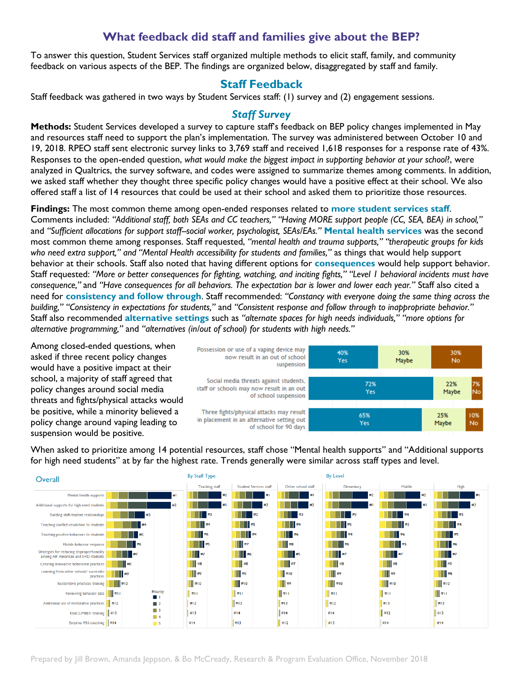## **What feedback did staff and families give about the BEP?**

To answer this question, Student Services staff organized multiple methods to elicit staff, family, and community feedback on various aspects of the BEP. The findings are organized below, disaggregated by staff and family.

#### **Staff Feedback**

Staff feedback was gathered in two ways by Student Services staff: (1) survey and (2) engagement sessions.

#### *Staff Survey*

**Methods:** Student Services developed a survey to capture staff's feedback on BEP policy changes implemented in May and resources staff need to support the plan's implementation. The survey was administered between October 10 and 19, 2018. RPEO staff sent electronic survey links to 3,769 staff and received 1,618 responses for a response rate of 43%. Responses to the open-ended question, *what would make the biggest impact in supporting behavior at your school*?, were analyzed in Qualtrics, the survey software, and codes were assigned to summarize themes among comments. In addition, we asked staff whether they thought three specific policy changes would have a positive effect at their school. We also offered staff a list of 14 resources that could be used at their school and asked them to prioritize those resources.

**Findings:** The most common theme among open-ended responses related to **more student services staff**. Comments included: *"Additional staff, both SEAs and CC teachers," "Having MORE support people (CC, SEA, BEA) in school,"* and *"Sufficient allocations for support staff--social worker, psychologist, SEAs/EAs."* **Mental health services** was the second most common theme among responses. Staff requested, *"mental health and trauma supports," "therapeutic groups for kids who need extra support," and "Mental Health accessibility for students and families,"* as things that would help support behavior at their schools. Staff also noted that having different options for **consequences** would help support behavior. Staff requested: *"More or better consequences for fighting, watching, and inciting fights," "Level 1 behavioral incidents must have consequence,"* and *"Have consequences for all behaviors. The expectation bar is lower and lower each year."* Staff also cited a need for **consistency and follow through**. Staff recommended: *"Constancy with everyone doing the same thing across the building," "Consistency in expectations for students,"* and *"Consistent response and follow through to inappropriate behavior."* Staff also recommended **alternative settings** such as *"alternate spaces for high needs individuals," "more options for alternative programming,"* and *"alternatives (in/out of school) for students with high needs."*

Among closed-ended questions, when asked if three recent policy changes would have a positive impact at their school, a majority of staff agreed that policy changes around social media threats and fights/physical attacks would be positive, while a minority believed a policy change around vaping leading to suspension would be positive.



When asked to prioritize among 14 potential resources, staff chose "Mental health supports" and "Additional supports for high need students" at by far the highest rate. Trends generally were similar across staff types and level.

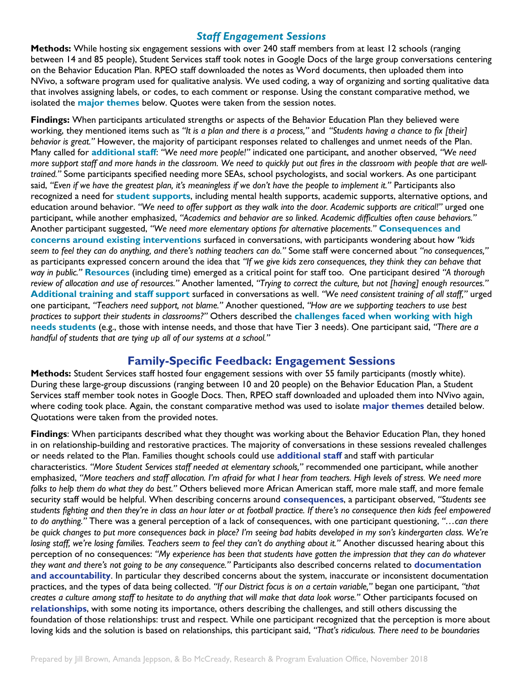### *Staff Engagement Sessions*

**Methods:** While hosting six engagement sessions with over 240 staff members from at least 12 schools (ranging between 14 and 85 people), Student Services staff took notes in Google Docs of the large group conversations centering on the Behavior Education Plan. RPEO staff downloaded the notes as Word documents, then uploaded them into NVivo, a software program used for qualitative analysis. We used coding, a way of organizing and sorting qualitative data that involves assigning labels, or codes, to each comment or response. Using the constant comparative method, we isolated the **major themes** below. Quotes were taken from the session notes.

**Findings:** When participants articulated strengths or aspects of the Behavior Education Plan they believed were working, they mentioned items such as *"It is a plan and there is a process,"* and *"Students having a chance to fix [their] behavior is great."* However, the majority of participant responses related to challenges and unmet needs of the Plan. Many called for **additional staff**: *"We need more people!"* indicated one participant, and another observed, *"We need more support staff and more hands in the classroom. We need to quickly put out fires in the classroom with people that are welltrained."* Some participants specified needing more SEAs, school psychologists, and social workers. As one participant said, *"Even if we have the greatest plan, it's meaningless if we don't have the people to implement it."* Participants also recognized a need for **student supports**, including mental health supports, academic supports, alternative options, and education around behavior. *"We need to offer support as they walk into the door. Academic supports are critical!"* urged one participant, while another emphasized, *"Academics and behavior are so linked. Academic difficulties often cause behaviors."* Another participant suggested, *"We need more elementary options for alternative placements."* **Consequences and concerns around existing interventions** surfaced in conversations, with participants wondering about how *"kids seem to feel they can do anything, and there's nothing teachers can do."* Some staff were concerned about *"no consequences,"* as participants expressed concern around the idea that *"If we give kids zero consequences, they think they can behave that way in public."* **Resources** (including time) emerged as a critical point for staff too. One participant desired *"A thorough review of allocation and use of resources."* Another lamented, *"Trying to correct the culture, but not [having] enough resources."* **Additional training and staff support** surfaced in conversations as well. *"We need consistent training of all staff,"* urged one participant, *"Teachers need support, not blame."* Another questioned, *"How are we supporting teachers to use best practices to support their students in classrooms?"* Others described the **challenges faced when working with high needs students** (e.g., those with intense needs, and those that have Tier 3 needs). One participant said, *"There are a handful of students that are tying up all of our systems at a school."*

### **Family-Specific Feedback: Engagement Sessions**

**Methods:** Student Services staff hosted four engagement sessions with over 55 family participants (mostly white). During these large-group discussions (ranging between 10 and 20 people) on the Behavior Education Plan, a Student Services staff member took notes in Google Docs. Then, RPEO staff downloaded and uploaded them into NVivo again, where coding took place. Again, the constant comparative method was used to isolate **major themes** detailed below. Quotations were taken from the provided notes.

**Findings**: When participants described what they thought was working about the Behavior Education Plan, they honed in on relationship-building and restorative practices. The majority of conversations in these sessions revealed challenges or needs related to the Plan. Families thought schools could use **additional staff** and staff with particular characteristics. *"More Student Services staff needed at elementary schools,"* recommended one participant, while another emphasized, *"More teachers and staff allocation. I'm afraid for what I hear from teachers. High levels of stress. We need more folks to help them do what they do best."* Others believed more African American staff, more male staff, and more female security staff would be helpful. When describing concerns around **consequences**, a participant observed, *"Students see students fighting and then they're in class an hour later or at football practice. If there's no consequence then kids feel empowered to do anything."* There was a general perception of a lack of consequences, with one participant questioning, *"…can there be quick changes to put more consequences back in place? I'm seeing bad habits developed in my son's kindergarten class. We're losing staff, we're losing families. Teachers seem to feel they can't do anything about it."* Another discussed hearing about this perception of no consequences: *"My experience has been that students have gotten the impression that they can do whatever they want and there's not going to be any consequence."* Participants also described concerns related to **documentation and accountability**. In particular they described concerns about the system, inaccurate or inconsistent documentation practices, and the types of data being collected. *"If our District focus is on a certain variable,"* began one participant, *"that creates a culture among staff to hesitate to do anything that will make that data look worse."* Other participants focused on **relationships**, with some noting its importance, others describing the challenges, and still others discussing the foundation of those relationships: trust and respect. While one participant recognized that the perception is more about loving kids and the solution is based on relationships, this participant said, *"That's ridiculous. There need to be boundaries*